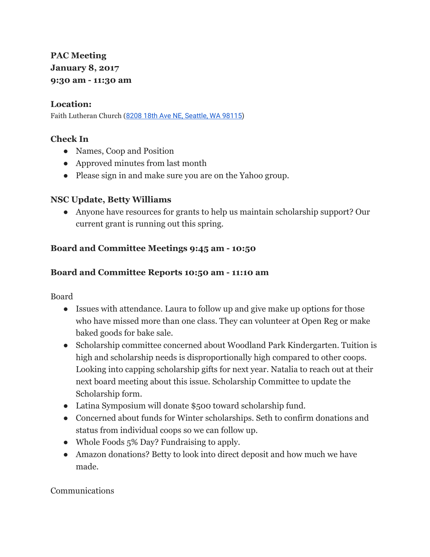# **PAC Meeting January 8, 2017 9:30 am - 11:30 am**

#### **Location:**

Faith Lutheran Church (8208 18th Ave NE, [Seattle,](https://maps.google.com/?q=8208+18th+Ave+NE,+Seattle,+WA+98115&entry=gmail&source=g) WA 98115)

### **Check In**

- Names, Coop and Position
- Approved minutes from last month
- Please sign in and make sure you are on the Yahoo group.

### **NSC Update, Betty Williams**

● Anyone have resources for grants to help us maintain scholarship support? Our current grant is running out this spring.

### **Board and Committee Meetings 9:45 am - 10:50**

### **Board and Committee Reports 10:50 am - 11:10 am**

Board

- Issues with attendance. Laura to follow up and give make up options for those who have missed more than one class. They can volunteer at Open Reg or make baked goods for bake sale.
- Scholarship committee concerned about Woodland Park Kindergarten. Tuition is high and scholarship needs is disproportionally high compared to other coops. Looking into capping scholarship gifts for next year. Natalia to reach out at their next board meeting about this issue. Scholarship Committee to update the Scholarship form.
- Latina Symposium will donate \$500 toward scholarship fund.
- Concerned about funds for Winter scholarships. Seth to confirm donations and status from individual coops so we can follow up.
- Whole Foods 5% Day? Fundraising to apply.
- Amazon donations? Betty to look into direct deposit and how much we have made.

Communications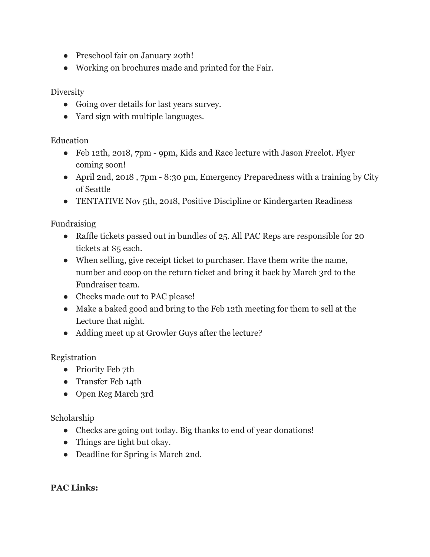- Preschool fair on January 20th!
- Working on brochures made and printed for the Fair.

**Diversity** 

- Going over details for last years survey.
- Yard sign with multiple languages.

Education

- Feb 12th, 2018, 7pm 9pm, Kids and Race lecture with Jason Freelot. Flyer coming soon!
- April 2nd, 2018, 7pm 8:30 pm, Emergency Preparedness with a training by City of Seattle
- TENTATIVE Nov 5th, 2018, Positive Discipline or Kindergarten Readiness

Fundraising

- Raffle tickets passed out in bundles of 25. All PAC Reps are responsible for 20 tickets at \$5 each.
- When selling, give receipt ticket to purchaser. Have them write the name, number and coop on the return ticket and bring it back by March 3rd to the Fundraiser team.
- Checks made out to PAC please!
- Make a baked good and bring to the Feb 12th meeting for them to sell at the Lecture that night.
- Adding meet up at Growler Guys after the lecture?

### Registration

- Priority Feb 7th
- Transfer Feb 14th
- Open Reg March 3rd

Scholarship

- Checks are going out today. Big thanks to end of year donations!
- Things are tight but okay.
- Deadline for Spring is March 2nd.

## **PAC Links:**